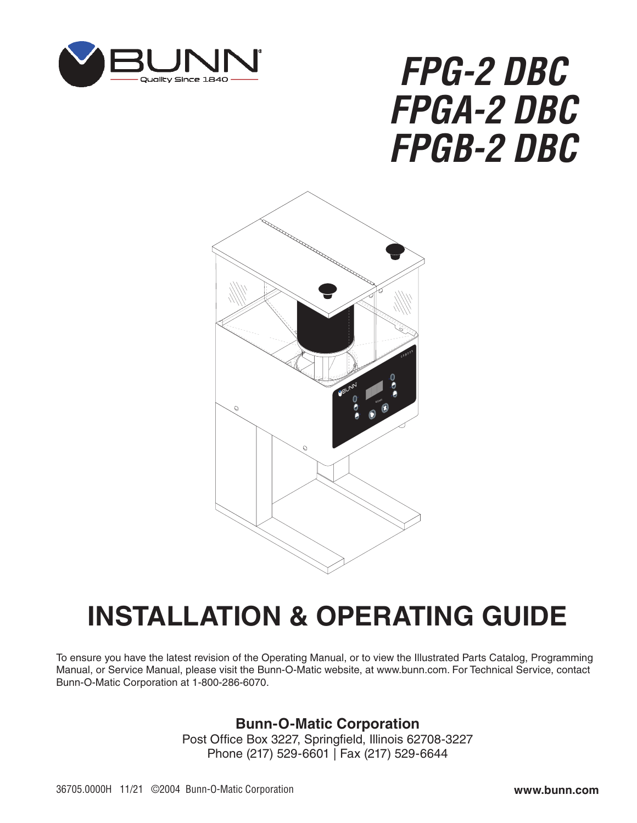

# *FPG-2 DBC FPGA-2 DBC FPGB-2 DBC*



## **INSTALLATION & OPERATING GUIDE**

To ensure you have the latest revision of the Operating Manual, or to view the Illustrated Parts Catalog, Programming Manual, or Service Manual, please visit the Bunn-O-Matic website, at www.bunn.com. For Technical Service, contact Bunn-O-Matic Corporation at 1-800-286-6070.

#### **Bunn-O-Matic Corporation**

Post Office Box 3227, Springfield, Illinois 62708-3227 Phone (217) 529-6601 | Fax (217) 529-6644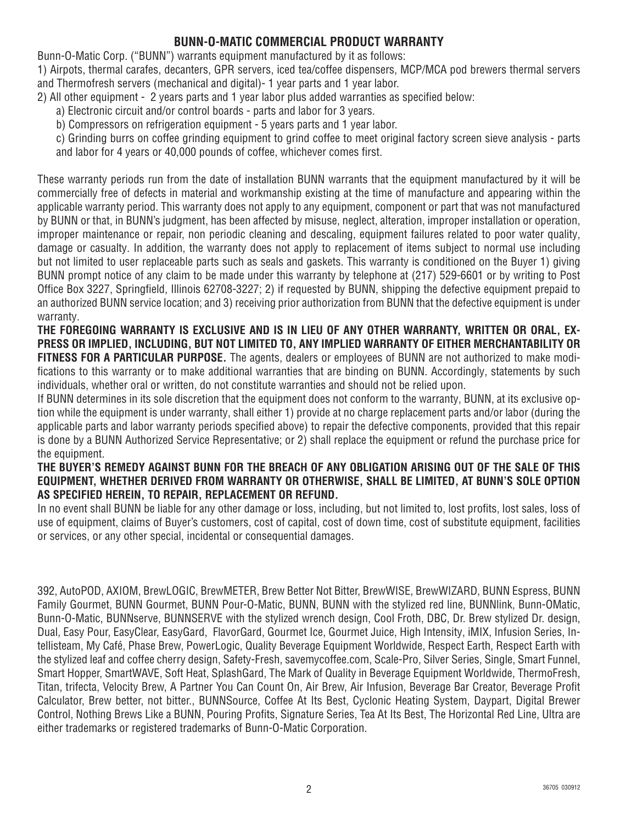#### **BUNN-O-MATIC COMMERCIAL PRODUCT WARRANTY**

Bunn-O-Matic Corp. ("BUNN") warrants equipment manufactured by it as follows:

1) Airpots, thermal carafes, decanters, GPR servers, iced tea/coffee dispensers, MCP/MCA pod brewers thermal servers and Thermofresh servers (mechanical and digital)- 1 year parts and 1 year labor.

2) All other equipment - 2 years parts and 1 year labor plus added warranties as specified below:

- a) Electronic circuit and/or control boards parts and labor for 3 years.
- b) Compressors on refrigeration equipment 5 years parts and 1 year labor.
- c) Grinding burrs on coffee grinding equipment to grind coffee to meet original factory screen sieve analysis parts and labor for 4 years or 40,000 pounds of coffee, whichever comes first.

These warranty periods run from the date of installation BUNN warrants that the equipment manufactured by it will be commercially free of defects in material and workmanship existing at the time of manufacture and appearing within the applicable warranty period. This warranty does not apply to any equipment, component or part that was not manufactured by BUNN or that, in BUNN's judgment, has been affected by misuse, neglect, alteration, improper installation or operation, improper maintenance or repair, non periodic cleaning and descaling, equipment failures related to poor water quality, damage or casualty. In addition, the warranty does not apply to replacement of items subject to normal use including but not limited to user replaceable parts such as seals and gaskets. This warranty is conditioned on the Buyer 1) giving BUNN prompt notice of any claim to be made under this warranty by telephone at (217) 529-6601 or by writing to Post Office Box 3227, Springfield, Illinois 62708-3227; 2) if requested by BUNN, shipping the defective equipment prepaid to an authorized BUNN service location; and 3) receiving prior authorization from BUNN that the defective equipment is under warranty.

**THE FOREGOING WARRANTY IS EXCLUSIVE AND IS IN LIEU OF ANY OTHER WARRANTY, WRITTEN OR ORAL, EX-PRESS OR IMPLIED, INCLUDING, BUT NOT LIMITED TO, ANY IMPLIED WARRANTY OF EITHER MERCHANTABILITY OR FITNESS FOR A PARTICULAR PURPOSE.** The agents, dealers or employees of BUNN are not authorized to make modifications to this warranty or to make additional warranties that are binding on BUNN. Accordingly, statements by such individuals, whether oral or written, do not constitute warranties and should not be relied upon.

If BUNN determines in its sole discretion that the equipment does not conform to the warranty, BUNN, at its exclusive option while the equipment is under warranty, shall either 1) provide at no charge replacement parts and/or labor (during the applicable parts and labor warranty periods specified above) to repair the defective components, provided that this repair is done by a BUNN Authorized Service Representative; or 2) shall replace the equipment or refund the purchase price for the equipment.

#### **THE BUYER'S REMEDY AGAINST BUNN FOR THE BREACH OF ANY OBLIGATION ARISING OUT OF THE SALE OF THIS EQUIPMENT, WHETHER DERIVED FROM WARRANTY OR OTHERWISE, SHALL BE LIMITED, AT BUNN'S SOLE OPTION AS SPECIFIED HEREIN, TO REPAIR, REPLACEMENT OR REFUND.**

In no event shall BUNN be liable for any other damage or loss, including, but not limited to, lost profits, lost sales, loss of use of equipment, claims of Buyer's customers, cost of capital, cost of down time, cost of substitute equipment, facilities or services, or any other special, incidental or consequential damages.

392, AutoPOD, AXIOM, BrewLOGIC, BrewMETER, Brew Better Not Bitter, BrewWISE, BrewWIZARD, BUNN Espress, BUNN Family Gourmet, BUNN Gourmet, BUNN Pour-O-Matic, BUNN, BUNN with the stylized red line, BUNNlink, Bunn-OMatic, Bunn-O-Matic, BUNNserve, BUNNSERVE with the stylized wrench design, Cool Froth, DBC, Dr. Brew stylized Dr. design, Dual, Easy Pour, EasyClear, EasyGard, FlavorGard, Gourmet Ice, Gourmet Juice, High Intensity, iMIX, Infusion Series, Intellisteam, My Café, Phase Brew, PowerLogic, Quality Beverage Equipment Worldwide, Respect Earth, Respect Earth with the stylized leaf and coffee cherry design, Safety-Fresh, savemycoffee.com, Scale-Pro, Silver Series, Single, Smart Funnel, Smart Hopper, SmartWAVE, Soft Heat, SplashGard, The Mark of Quality in Beverage Equipment Worldwide, ThermoFresh, Titan, trifecta, Velocity Brew, A Partner You Can Count On, Air Brew, Air Infusion, Beverage Bar Creator, Beverage Profit Calculator, Brew better, not bitter., BUNNSource, Coffee At Its Best, Cyclonic Heating System, Daypart, Digital Brewer Control, Nothing Brews Like a BUNN, Pouring Profits, Signature Series, Tea At Its Best, The Horizontal Red Line, Ultra are either trademarks or registered trademarks of Bunn-O-Matic Corporation.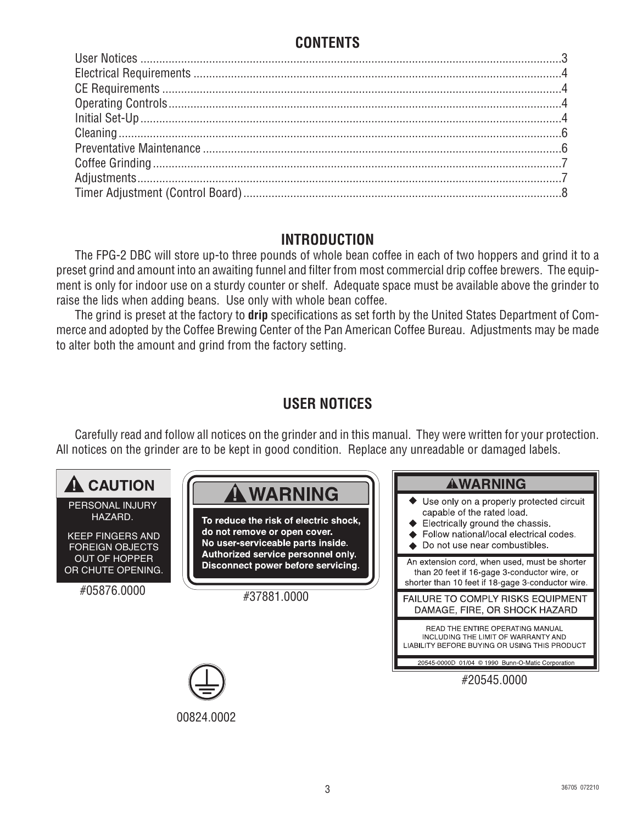## **CONTENTS**

#### **INTRODUCTION**

The FPG-2 DBC will store up-to three pounds of whole bean coffee in each of two hoppers and grind it to a preset grind and amount into an awaiting funnel and filter from most commercial drip coffee brewers. The equipment is only for indoor use on a sturdy counter or shelf. Adequate space must be available above the grinder to raise the lids when adding beans. Use only with whole bean coffee.

The grind is preset at the factory to **drip** specifications as set forth by the United States Department of Commerce and adopted by the Coffee Brewing Center of the Pan American Coffee Bureau. Adjustments may be made to alter both the amount and grind from the factory setting.

## **USER NOTICES**

Carefully read and follow all notices on the grinder and in this manual. They were written for your protection. All notices on the grinder are to be kept in good condition. Replace any unreadable or damaged labels.

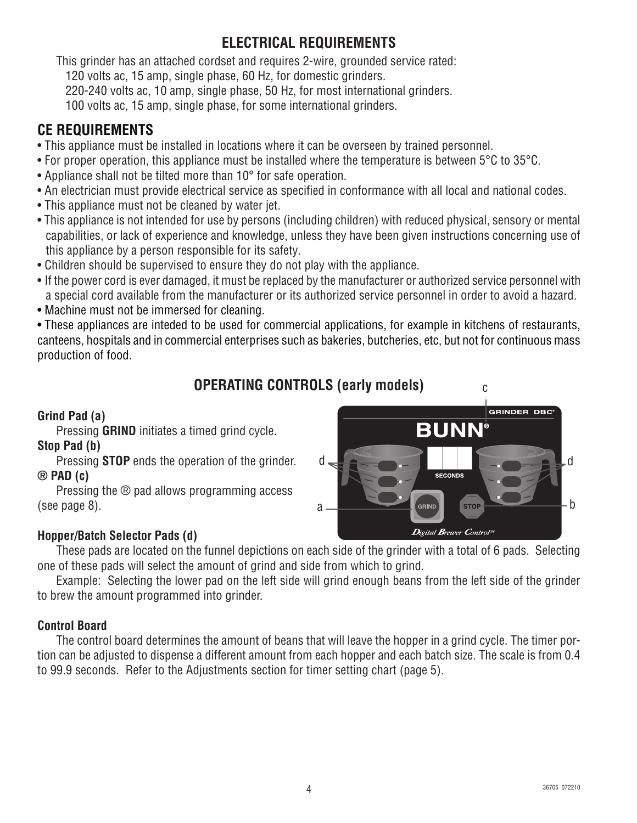## **ELECTRICAL REQUIREMENTS**

This grinder has an attached cordset and requires 2-wire, grounded service rated:

120 volts ac, 15 amp, single phase, 60 Hz, for domestic grinders.

220-240 volts ac, 10 amp, single phase, 50 Hz, for most international grinders.

100 volts ac, 15 amp, single phase, for some international grinders.

## **CE REQUIREMENTS**

- This appliance must be installed in locations where it can be overseen by trained personnel.
- For proper operation, this appliance must be installed where the temperature is between 5°C to 35°C.
- Appliance shall not be tilted more than 10° for safe operation.
- An electrician must provide electrical service as specified in conformance with all local and national codes.
- This appliance must not be cleaned by water jet.
- This appliance is not intended for use by persons (including children) with reduced physical, sensory or mental capabilities, or lack of experience and knowledge, unless they have been given instructions concerning use of this appliance by a person responsible for its safety.
- Children should be supervised to ensure they do not play with the appliance.
- If the power cord is ever damaged, it must be replaced by the manufacturer or authorized service personnel with a special cord available from the manufacturer or its authorized service personnel in order to avoid a hazard.
- Machine must not be immersed for cleaning.

• These appliances are inteded to be used for commercial applications, for example in kitchens of restaurants, canteens, hospitals and in commercial enterprises such as bakeries, butcheries, etc, but not for continuous mass production of food.

## **OPERATING CONTROLS (early models)**

#### **Grind Pad (a)**

Pressing **GRIND** initiates a timed grind cycle. **Stop Pad (b)**

Pressing **STOP** ends the operation of the grinder. **® PAD (c)**

Pressing the ® pad allows programming access (see page 8).

#### **Hopper/Batch Selector Pads (d)**

These pads are located on the funnel depictions on each side of the grinder with a total of 6 pads. Selecting one of these pads will select the amount of grind and side from which to grind.

Example: Selecting the lower pad on the left side will grind enough beans from the left side of the grinder to brew the amount programmed into grinder.

#### **Control Board**

The control board determines the amount of beans that will leave the hopper in a grind cycle. The timer portion can be adjusted to dispense a different amount from each hopper and each batch size. The scale is from 0.4 to 99.9 seconds. Refer to the Adjustments section for timer setting chart (page 5).

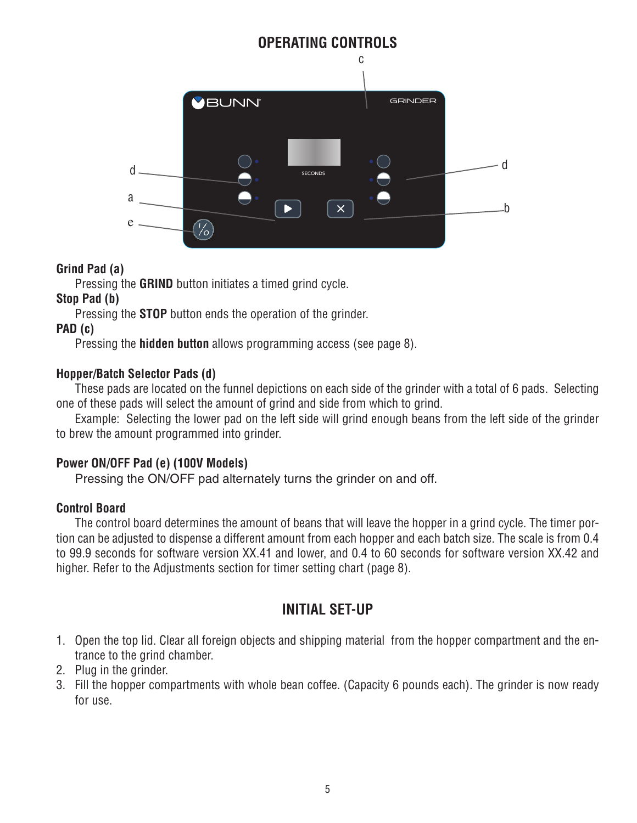

#### **Grind Pad (a)**

Pressing the **GRIND** button initiates a timed grind cycle.

#### **Stop Pad (b)**

 $\frac{4}{100}$  cm Pressing the **STOP** button ends the operation of the grinder.

#### **PAD (c)**

Pressing the **hidden button** allows programming access (see page 8).

#### **Hopper/Batch Selector Pads (d)**

These pads are located on the funnel depictions on each side of the grinder with a total of 6 pads. Selecting one of these pads will select the amount of grind and side from which to grind.

Example: Selecting the lower pad on the left side will grind enough beans from the left side of the grinder to brew the amount programmed into grinder.

#### **Power ON/OFF Pad (e) (100V Models)**

Pressing the ON/OFF pad alternately turns the grinder on and off.

#### **Control Board**

The control board determines the amount of beans that will leave the hopper in a grind cycle. The timer portion can be adjusted to dispense a different amount from each hopper and each batch size. The scale is from 0.4 to 99.9 seconds for software version XX.41 and lower, and 0.4 to 60 seconds for software version XX.42 and higher. Refer to the Adjustments section for timer setting chart (page 8).

## **INITIAL SET-UP**

- 1. Open the top lid. Clear all foreign objects and shipping material from the hopper compartment and the entrance to the grind chamber.
- 2. Plug in the grinder.
- 3. Fill the hopper compartments with whole bean coffee. (Capacity 6 pounds each). The grinder is now ready for use.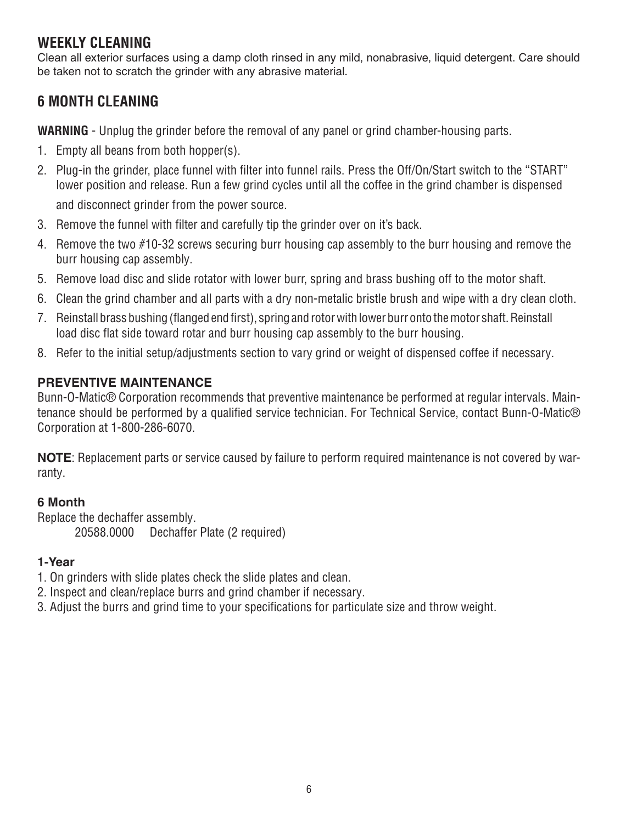### **WEEKLY CLEANING**

Clean all exterior surfaces using a damp cloth rinsed in any mild, nonabrasive, liquid detergent. Care should be taken not to scratch the grinder with any abrasive material.

## **6 MONTH CLEANING**

**WARNING** - Unplug the grinder before the removal of any panel or grind chamber-housing parts.

- 1. Empty all beans from both hopper(s).
- 2. Plug-in the grinder, place funnel with filter into funnel rails. Press the Off/On/Start switch to the "START" lower position and release. Run a few grind cycles until all the coffee in the grind chamber is dispensed and disconnect grinder from the power source.
- 3. Remove the funnel with filter and carefully tip the grinder over on it's back.
- 4. Remove the two #10-32 screws securing burr housing cap assembly to the burr housing and remove the burr housing cap assembly.
- 5. Remove load disc and slide rotator with lower burr, spring and brass bushing off to the motor shaft.
- 6. Clean the grind chamber and all parts with a dry non-metalic bristle brush and wipe with a dry clean cloth.
- 7. Reinstall brass bushing (flanged end first), spring and rotor with lower burr onto the motor shaft. Reinstall load disc flat side toward rotar and burr housing cap assembly to the burr housing.
- 8. Refer to the initial setup/adjustments section to vary grind or weight of dispensed coffee if necessary.

#### **PREVENTIVE MAINTENANCE**

Bunn-O-Matic® Corporation recommends that preventive maintenance be performed at regular intervals. Maintenance should be performed by a qualified service technician. For Technical Service, contact Bunn-O-Matic® Corporation at 1-800-286-6070.

**NOTE**: Replacement parts or service caused by failure to perform required maintenance is not covered by warranty.

#### **6 Month**

Replace the dechaffer assembly.

20588.0000 Dechaffer Plate (2 required)

#### **1-Year**

- 1. On grinders with slide plates check the slide plates and clean.
- 2. Inspect and clean/replace burrs and grind chamber if necessary.
- 3. Adjust the burrs and grind time to your specifications for particulate size and throw weight.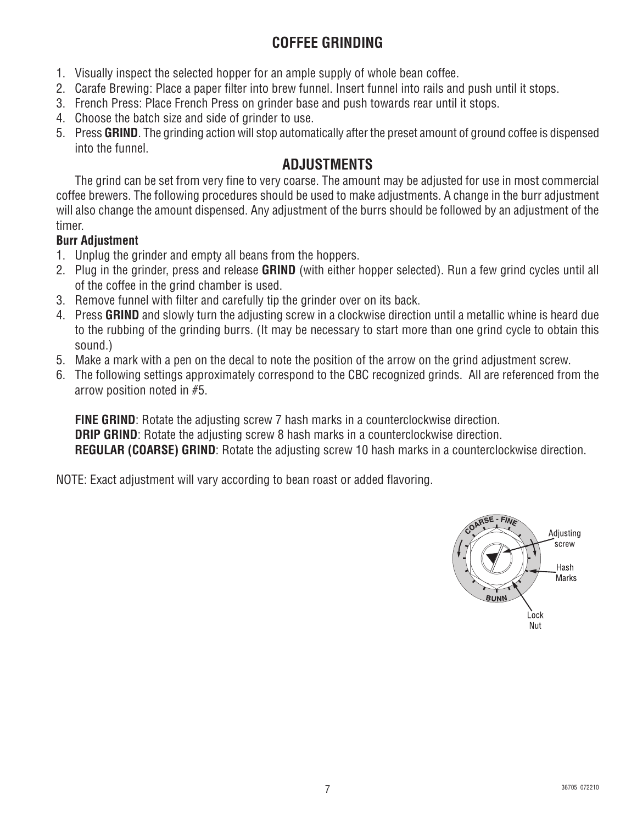## **COFFEE GRINDING**

- 1. Visually inspect the selected hopper for an ample supply of whole bean coffee.
- 2. Carafe Brewing: Place a paper filter into brew funnel. Insert funnel into rails and push until it stops.
- 3. French Press: Place French Press on grinder base and push towards rear until it stops.
- 4. Choose the batch size and side of grinder to use.
- 5. Press **GRIND**. The grinding action will stop automatically after the preset amount of ground coffee is dispensed into the funnel.

#### **ADJUSTMENTS**

The grind can be set from very fine to very coarse. The amount may be adjusted for use in most commercial coffee brewers. The following procedures should be used to make adjustments. A change in the burr adjustment will also change the amount dispensed. Any adjustment of the burrs should be followed by an adjustment of the timer.

#### **Burr Adjustment**

- 1. Unplug the grinder and empty all beans from the hoppers.
- 2. Plug in the grinder, press and release **GRIND** (with either hopper selected). Run a few grind cycles until all of the coffee in the grind chamber is used.
- 3. Remove funnel with filter and carefully tip the grinder over on its back.
- 4. Press **GRIND** and slowly turn the adjusting screw in a clockwise direction until a metallic whine is heard due to the rubbing of the grinding burrs. (It may be necessary to start more than one grind cycle to obtain this sound.)
- 5. Make a mark with a pen on the decal to note the position of the arrow on the grind adjustment screw.
- 6. The following settings approximately correspond to the CBC recognized grinds. All are referenced from the arrow position noted in #5.

**FINE GRIND:** Rotate the adjusting screw 7 hash marks in a counterclockwise direction. **DRIP GRIND:** Rotate the adjusting screw 8 hash marks in a counterclockwise direction. **REGULAR (COARSE) GRIND**: Rotate the adjusting screw 10 hash marks in a counterclockwise direction.

NOTE: Exact adjustment will vary according to bean roast or added flavoring.